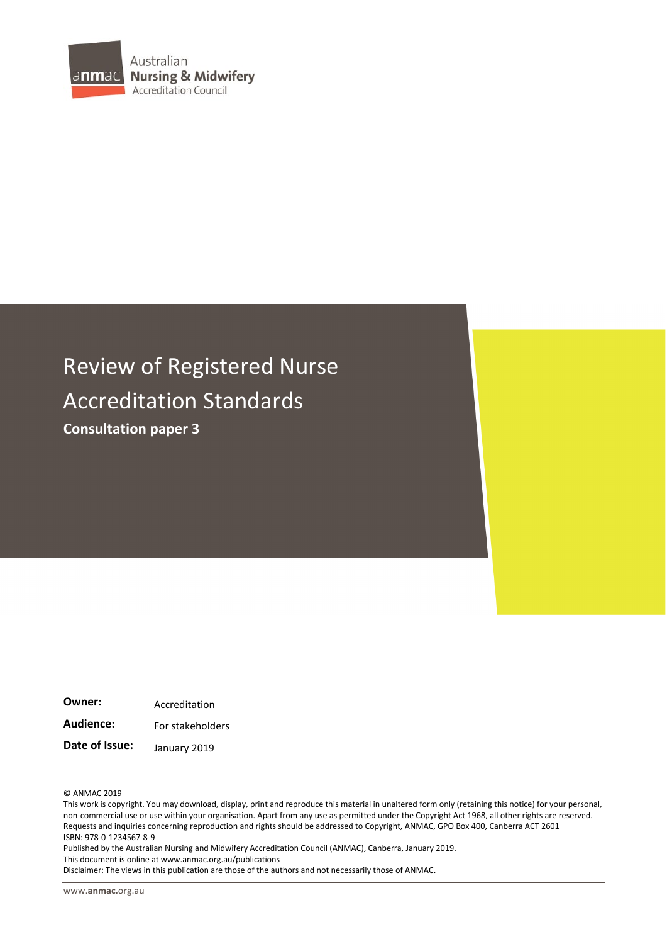

# Review of Registered Nurse Accreditation Standards **Consultation paper 3**

**Owner:** Accreditation Audience: For stakeholders **Date of Issue:** January 2019

© ANMAC 2019

This work is copyright. You may download, display, print and reproduce this material in unaltered form only (retaining this notice) for your personal, non-commercial use or use within your organisation. Apart from any use as permitted under the Copyright Act 1968, all other rights are reserved. Requests and inquiries concerning reproduction and rights should be addressed to Copyright, ANMAC, GPO Box 400, Canberra ACT 2601 ISBN: 978-0-1234567-8-9

Published by the Australian Nursing and Midwifery Accreditation Council (ANMAC), Canberra, January 2019. This document is online at www.anmac.org.au/publications

Disclaimer: The views in this publication are those of the authors and not necessarily those of ANMAC.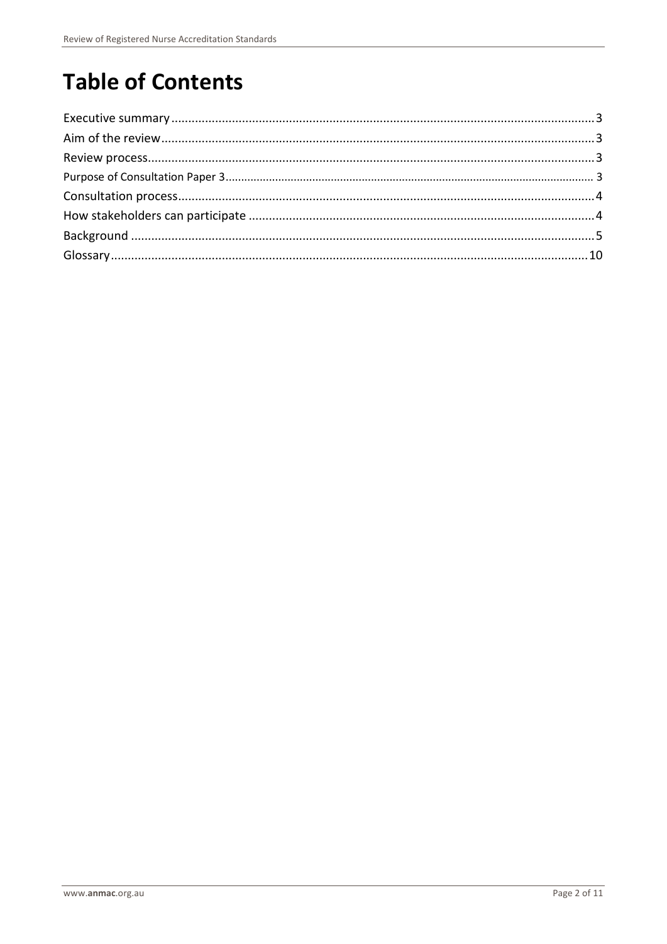# **Table of Contents**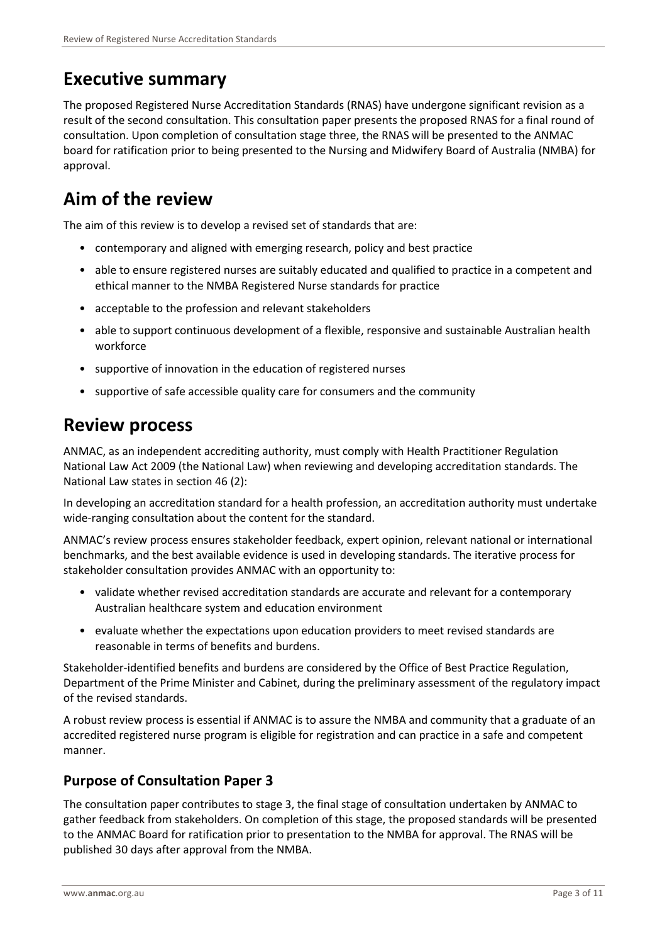### <span id="page-2-0"></span>**Executive summary**

The proposed Registered Nurse Accreditation Standards (RNAS) have undergone significant revision as a result of the second consultation. This consultation paper presents the proposed RNAS for a final round of consultation. Upon completion of consultation stage three, the RNAS will be presented to the ANMAC board for ratification prior to being presented to the Nursing and Midwifery Board of Australia (NMBA) for approval.

### <span id="page-2-1"></span>**Aim of the review**

The aim of this review is to develop a revised set of standards that are:

- contemporary and aligned with emerging research, policy and best practice
- able to ensure registered nurses are suitably educated and qualified to practice in a competent and ethical manner to the NMBA Registered Nurse standards for practice
- acceptable to the profession and relevant stakeholders
- able to support continuous development of a flexible, responsive and sustainable Australian health workforce
- supportive of innovation in the education of registered nurses
- supportive of safe accessible quality care for consumers and the community

#### <span id="page-2-2"></span>**Review process**

ANMAC, as an independent accrediting authority, must comply with Health Practitioner Regulation National Law Act 2009 (the National Law) when reviewing and developing accreditation standards. The National Law states in section 46 (2):

In developing an accreditation standard for a health profession, an accreditation authority must undertake wide-ranging consultation about the content for the standard.

ANMAC's review process ensures stakeholder feedback, expert opinion, relevant national or international benchmarks, and the best available evidence is used in developing standards. The iterative process for stakeholder consultation provides ANMAC with an opportunity to:

- validate whether revised accreditation standards are accurate and relevant for a contemporary Australian healthcare system and education environment
- evaluate whether the expectations upon education providers to meet revised standards are reasonable in terms of benefits and burdens.

Stakeholder-identified benefits and burdens are considered by the Office of Best Practice Regulation, Department of the Prime Minister and Cabinet, during the preliminary assessment of the regulatory impact of the revised standards.

A robust review process is essential if ANMAC is to assure the NMBA and community that a graduate of an accredited registered nurse program is eligible for registration and can practice in a safe and competent manner.

#### <span id="page-2-3"></span>**Purpose of Consultation Paper 3**

The consultation paper contributes to stage 3, the final stage of consultation undertaken by ANMAC to gather feedback from stakeholders. On completion of this stage, the proposed standards will be presented to the ANMAC Board for ratification prior to presentation to the NMBA for approval. The RNAS will be published 30 days after approval from the NMBA.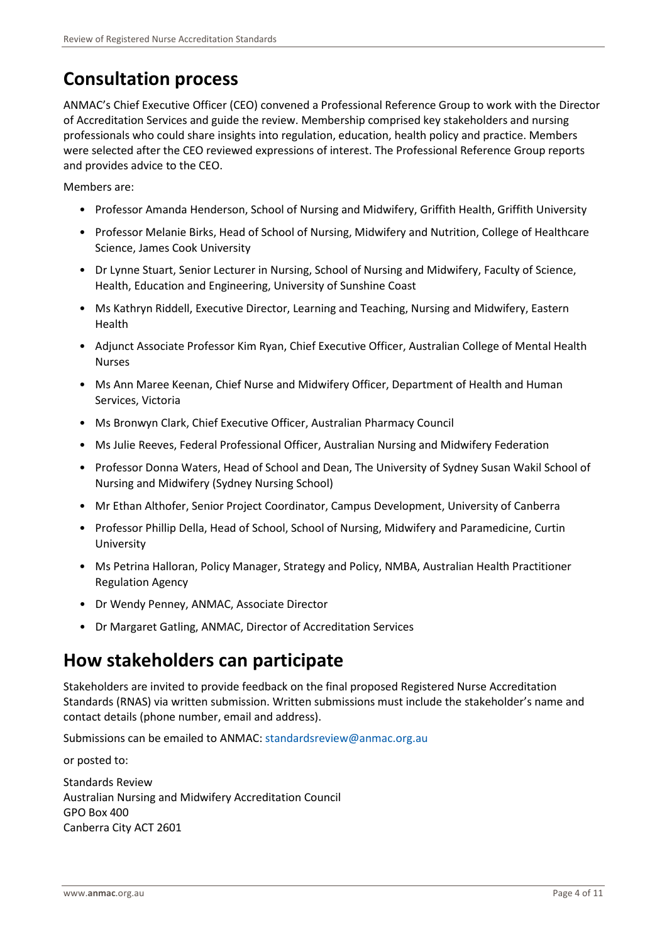## <span id="page-3-0"></span>**Consultation process**

ANMAC's Chief Executive Officer (CEO) convened a Professional Reference Group to work with the Director of Accreditation Services and guide the review. Membership comprised key stakeholders and nursing professionals who could share insights into regulation, education, health policy and practice. Members were selected after the CEO reviewed expressions of interest. The Professional Reference Group reports and provides advice to the CEO.

Members are:

- Professor Amanda Henderson, School of Nursing and Midwifery, Griffith Health, Griffith University
- Professor Melanie Birks, Head of School of Nursing, Midwifery and Nutrition, College of Healthcare Science, James Cook University
- Dr Lynne Stuart, Senior Lecturer in Nursing, School of Nursing and Midwifery, Faculty of Science, Health, Education and Engineering, University of Sunshine Coast
- Ms Kathryn Riddell, Executive Director, Learning and Teaching, Nursing and Midwifery, Eastern Health
- Adjunct Associate Professor Kim Ryan, Chief Executive Officer, Australian College of Mental Health Nurses
- Ms Ann Maree Keenan, Chief Nurse and Midwifery Officer, Department of Health and Human Services, Victoria
- Ms Bronwyn Clark, Chief Executive Officer, Australian Pharmacy Council
- Ms Julie Reeves, Federal Professional Officer, Australian Nursing and Midwifery Federation
- Professor Donna Waters, Head of School and Dean, The University of Sydney Susan Wakil School of Nursing and Midwifery (Sydney Nursing School)
- Mr Ethan Althofer, Senior Project Coordinator, Campus Development, University of Canberra
- Professor Phillip Della, Head of School, School of Nursing, Midwifery and Paramedicine, Curtin University
- Ms Petrina Halloran, Policy Manager, Strategy and Policy, NMBA, Australian Health Practitioner Regulation Agency
- Dr Wendy Penney, ANMAC, Associate Director
- Dr Margaret Gatling, ANMAC, Director of Accreditation Services

#### <span id="page-3-1"></span>**How stakeholders can participate**

Stakeholders are invited to provide feedback on the final proposed Registered Nurse Accreditation Standards (RNAS) via written submission. Written submissions must include the stakeholder's name and contact details (phone number, email and address).

Submissions can be emailed to ANMAC: [standardsreview@anmac.org.au](mailto:standardsreview@anmac.org.au)

or posted to:

Standards Review Australian Nursing and Midwifery Accreditation Council GPO Box 400 Canberra City ACT 2601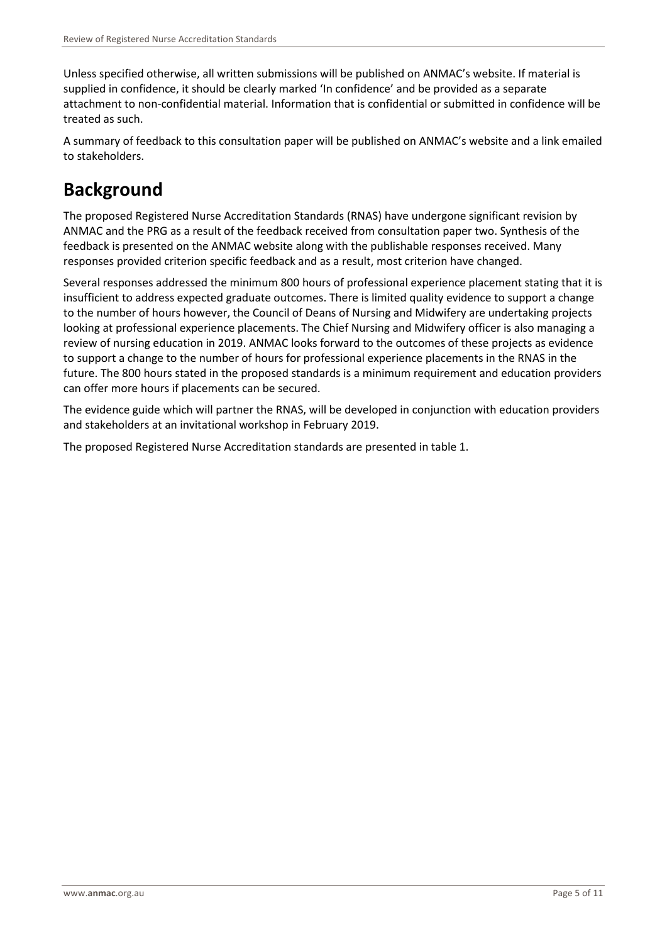Unless specified otherwise, all written submissions will be published on ANMAC's website. If material is supplied in confidence, it should be clearly marked 'In confidence' and be provided as a separate attachment to non-confidential material. Information that is confidential or submitted in confidence will be treated as such.

A summary of feedback to this consultation paper will be published on ANMAC's website and a link emailed to stakeholders.

## <span id="page-4-0"></span>**Background**

The proposed Registered Nurse Accreditation Standards (RNAS) have undergone significant revision by ANMAC and the PRG as a result of the feedback received from consultation paper two. Synthesis of the feedback is presented on the ANMAC website along with the publishable responses received. Many responses provided criterion specific feedback and as a result, most criterion have changed.

Several responses addressed the minimum 800 hours of professional experience placement stating that it is insufficient to address expected graduate outcomes. There is limited quality evidence to support a change to the number of hours however, the Council of Deans of Nursing and Midwifery are undertaking projects looking at professional experience placements. The Chief Nursing and Midwifery officer is also managing a review of nursing education in 2019. ANMAC looks forward to the outcomes of these projects as evidence to support a change to the number of hours for professional experience placements in the RNAS in the future. The 800 hours stated in the proposed standards is a minimum requirement and education providers can offer more hours if placements can be secured.

The evidence guide which will partner the RNAS, will be developed in conjunction with education providers and stakeholders at an invitational workshop in February 2019.

The proposed Registered Nurse Accreditation standards are presented in table 1.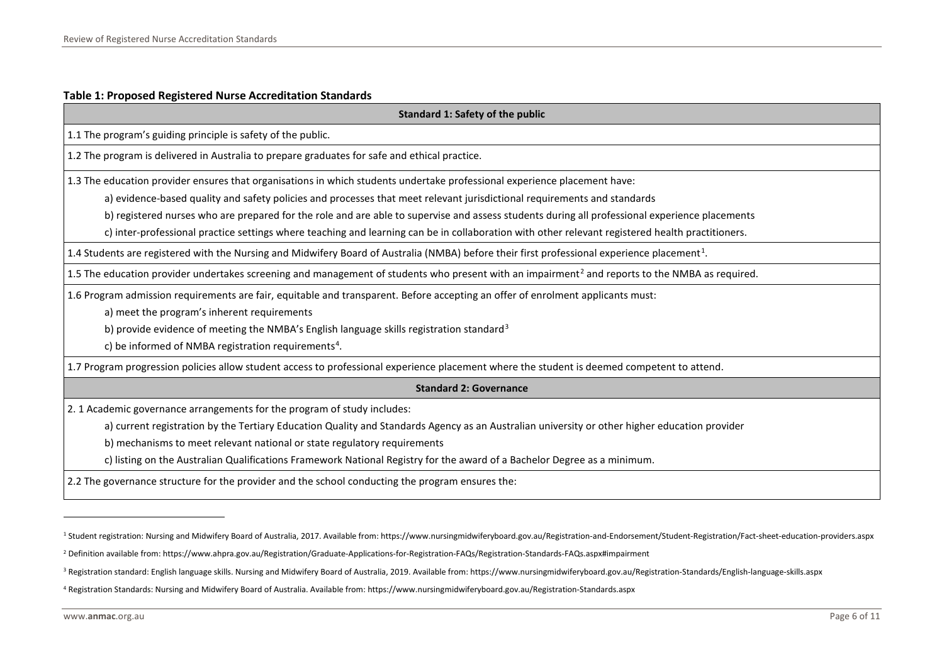#### <span id="page-5-3"></span><span id="page-5-2"></span><span id="page-5-1"></span><span id="page-5-0"></span>**Table 1: Proposed Registered Nurse Accreditation Standards**

| <b>Standard 1: Safety of the public</b>                                                                                                                     |
|-------------------------------------------------------------------------------------------------------------------------------------------------------------|
| 1.1 The program's guiding principle is safety of the public.                                                                                                |
| 1.2 The program is delivered in Australia to prepare graduates for safe and ethical practice.                                                               |
| 1.3 The education provider ensures that organisations in which students undertake professional experience placement have:                                   |
| a) evidence-based quality and safety policies and processes that meet relevant jurisdictional requirements and standards                                    |
| b) registered nurses who are prepared for the role and are able to supervise and assess students during all professional experience placements              |
| c) inter-professional practice settings where teaching and learning can be in collaboration with other relevant registered health practitioners.            |
| 1.4 Students are registered with the Nursing and Midwifery Board of Australia (NMBA) before their first professional experience placement <sup>1</sup> .    |
| 1.5 The education provider undertakes screening and management of students who present with an impairment <sup>2</sup> and reports to the NMBA as required. |
| 1.6 Program admission requirements are fair, equitable and transparent. Before accepting an offer of enrolment applicants must:                             |
| a) meet the program's inherent requirements                                                                                                                 |
| b) provide evidence of meeting the NMBA's English language skills registration standard <sup>3</sup>                                                        |
| c) be informed of NMBA registration requirements <sup>4</sup> .                                                                                             |
| 1.7 Program progression policies allow student access to professional experience placement where the student is deemed competent to attend.                 |
| <b>Standard 2: Governance</b>                                                                                                                               |
| 2. 1 Academic governance arrangements for the program of study includes:                                                                                    |
| a) current registration by the Tertiary Education Quality and Standards Agency as an Australian university or other higher education provider               |
| b) mechanisms to meet relevant national or state regulatory requirements                                                                                    |
| c) listing on the Australian Qualifications Framework National Registry for the award of a Bachelor Degree as a minimum.                                    |
| 2.2 The governance structure for the provider and the school conducting the program ensures the:                                                            |

l

<sup>&</sup>lt;sup>1</sup> Student registration: Nursing and Midwifery Board of Australia, 2017. Available from: https://www.nursingmidwiferyboard.gov.au/Registration-and-Endorsement/Student-Registration/Fact-sheet-education-providers.aspx

<sup>2</sup> Definition available from: https://www.ahpra.gov.au/Registration/Graduate-Applications-for-Registration-FAQs/Registration-Standards-FAQs.aspx#impairment

<sup>&</sup>lt;sup>3</sup> Registration standard: English language skills. Nursing and Midwifery Board of Australia, 2019. Available from: https://www.nursingmidwiferyboard.gov.au/Registration-Standards/English-language-skills.aspx

<sup>4</sup> Registration Standards: Nursing and Midwifery Board of Australia. Available from: https://www.nursingmidwiferyboard.gov.au/Registration-Standards.aspx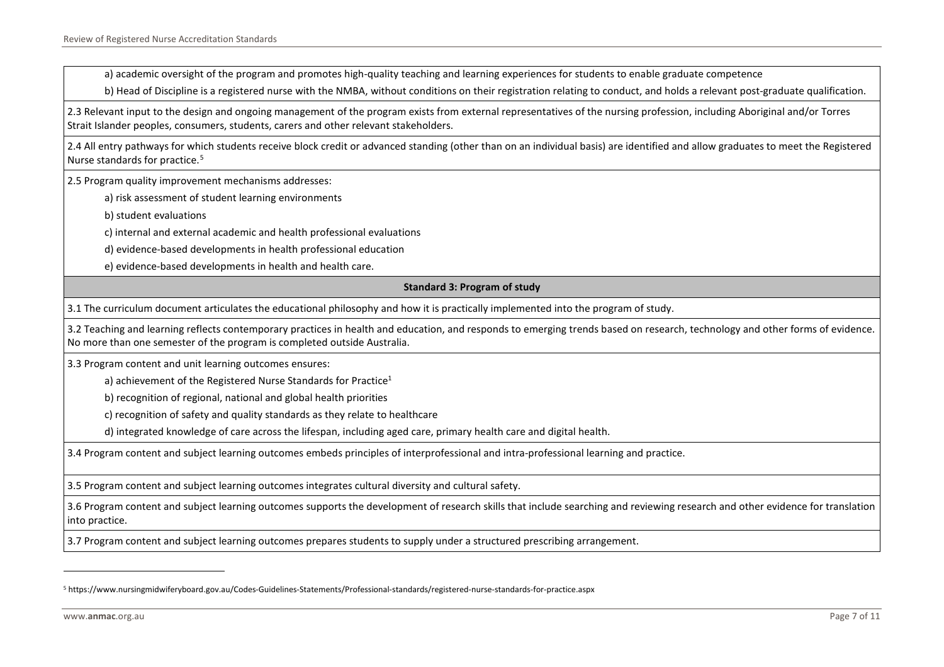a) academic oversight of the program and promotes high-quality teaching and learning experiences for students to enable graduate competence

b) Head of Discipline is a registered nurse with the NMBA, without conditions on their registration relating to conduct, and holds a relevant post-graduate qualification.

2.3 Relevant input to the design and ongoing management of the program exists from external representatives of the nursing profession, including Aboriginal and/or Torres Strait Islander peoples, consumers, students, carers and other relevant stakeholders.

2.4 All entry pathways for which students receive block credit or advanced standing (other than on an individual basis) are identified and allow graduates to meet the Registered Nurse standards for practice. [5](#page-6-0)

2.5 Program quality improvement mechanisms addresses:

a) risk assessment of student learning environments

b) student evaluations

c) internal and external academic and health professional evaluations

d) evidence-based developments in health professional education

e) evidence-based developments in health and health care.

#### <span id="page-6-0"></span>**Standard 3: Program of study**

3.1 The curriculum document articulates the educational philosophy and how it is practically implemented into the program of study.

3.2 Teaching and learning reflects contemporary practices in health and education, and responds to emerging trends based on research, technology and other forms of evidence. No more than one semester of the program is completed outside Australia.

3.3 Program content and unit learning outcomes ensures:

a) achievement of the Registered Nurse Standards for Practice<sup>1</sup>

b) recognition of regional, national and global health priorities

c) recognition of safety and quality standards as they relate to healthcare

d) integrated knowledge of care across the lifespan, including aged care, primary health care and digital health.

3.4 Program content and subject learning outcomes embeds principles of interprofessional and intra-professional learning and practice.

3.5 Program content and subject learning outcomes integrates cultural diversity and cultural safety.

3.6 Program content and subject learning outcomes supports the development of research skills that include searching and reviewing research and other evidence for translation into practice.

3.7 Program content and subject learning outcomes prepares students to supply under a structured prescribing arrangement.

l

<sup>5</sup> https://www.nursingmidwiferyboard.gov.au/Codes-Guidelines-Statements/Professional-standards/registered-nurse-standards-for-practice.aspx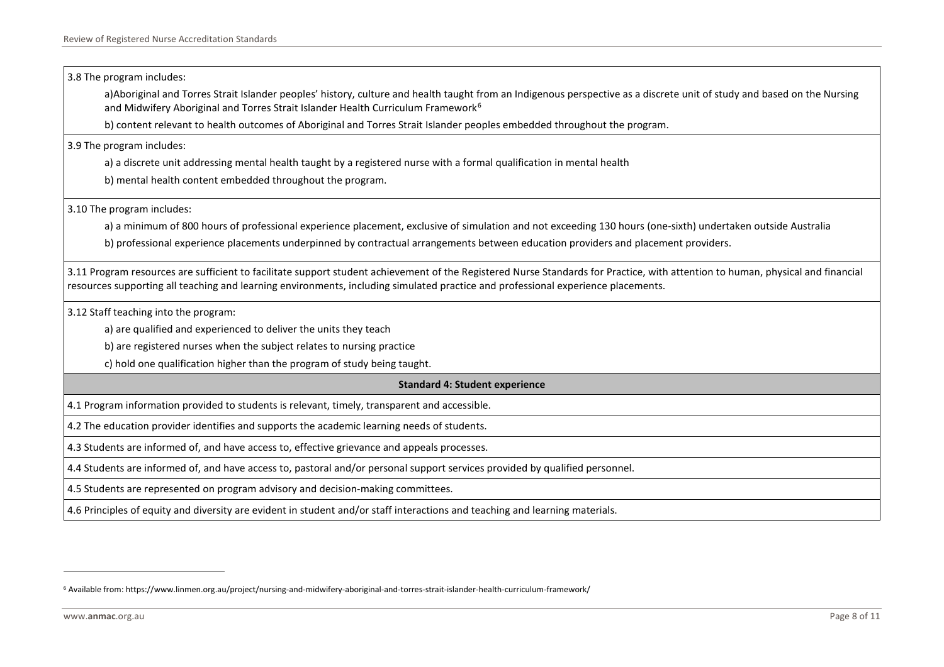3.8 The program includes:

<span id="page-7-0"></span>a)Aboriginal and Torres Strait Islander peoples' history, culture and health taught from an Indigenous perspective as a discrete unit of study and based on the Nursing and Midwifery Aboriginal and Torres Strait Islander Health Curriculum Framework<sup>[6](#page-7-0)</sup>

b) content relevant to health outcomes of Aboriginal and Torres Strait Islander peoples embedded throughout the program.

3.9 The program includes:

a) a discrete unit addressing mental health taught by a registered nurse with a formal qualification in mental health

b) mental health content embedded throughout the program.

3.10 The program includes:

a) a minimum of 800 hours of professional experience placement, exclusive of simulation and not exceeding 130 hours (one-sixth) undertaken outside Australia

b) professional experience placements underpinned by contractual arrangements between education providers and placement providers.

3.11 Program resources are sufficient to facilitate support student achievement of the Registered Nurse Standards for Practice, with attention to human, physical and financial resources supporting all teaching and learning environments, including simulated practice and professional experience placements.

3.12 Staff teaching into the program:

a) are qualified and experienced to deliver the units they teach

b) are registered nurses when the subject relates to nursing practice

c) hold one qualification higher than the program of study being taught.

#### **Standard 4: Student experience**

4.1 Program information provided to students is relevant, timely, transparent and accessible.

4.2 The education provider identifies and supports the academic learning needs of students.

4.3 Students are informed of, and have access to, effective grievance and appeals processes.

4.4 Students are informed of, and have access to, pastoral and/or personal support services provided by qualified personnel.

4.5 Students are represented on program advisory and decision-making committees.

4.6 Principles of equity and diversity are evident in student and/or staff interactions and teaching and learning materials.

l

<sup>6</sup> Available from: https://www.linmen.org.au/project/nursing-and-midwifery-aboriginal-and-torres-strait-islander-health-curriculum-framework/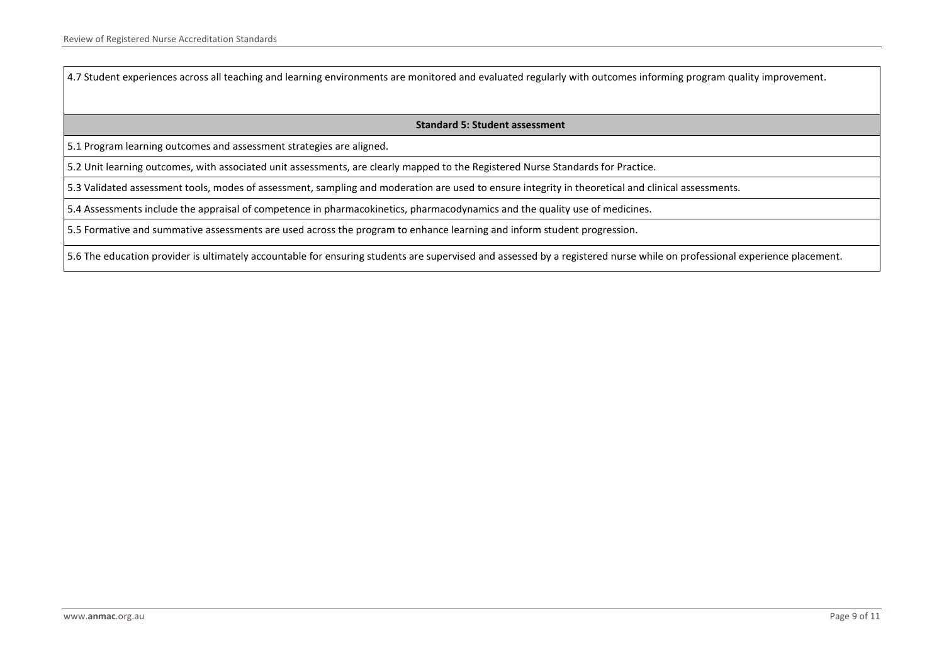4.7 Student experiences across all teaching and learning environments are monitored and evaluated regularly with outcomes informing program quality improvement.

#### **Standard 5: Student assessment**

5.1 Program learning outcomes and assessment strategies are aligned.

5.2 Unit learning outcomes, with associated unit assessments, are clearly mapped to the Registered Nurse Standards for Practice.

5.3 Validated assessment tools, modes of assessment, sampling and moderation are used to ensure integrity in theoretical and clinical assessments.

5.4 Assessments include the appraisal of competence in pharmacokinetics, pharmacodynamics and the quality use of medicines.

5.5 Formative and summative assessments are used across the program to enhance learning and inform student progression.

5.6 The education provider is ultimately accountable for ensuring students are supervised and assessed by a registered nurse while on professional experience placement.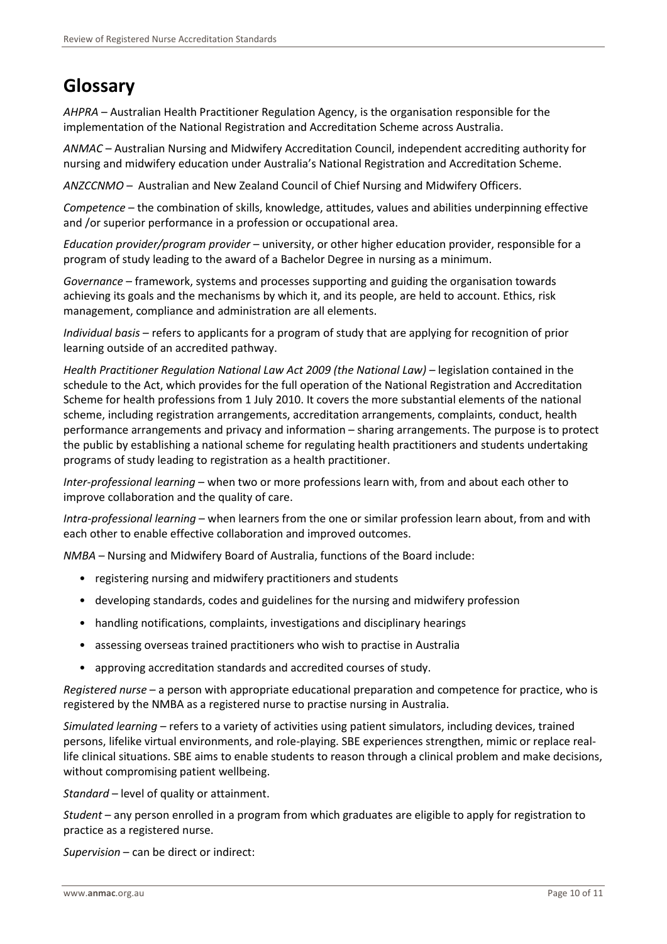### <span id="page-9-0"></span>**Glossary**

*AHPRA* – Australian Health Practitioner Regulation Agency, is the organisation responsible for the implementation of the National Registration and Accreditation Scheme across Australia.

*ANMAC* – Australian Nursing and Midwifery Accreditation Council, independent accrediting authority for nursing and midwifery education under Australia's National Registration and Accreditation Scheme.

*ANZCCNMO* – Australian and New Zealand Council of Chief Nursing and Midwifery Officers.

*Competence* – the combination of skills, knowledge, attitudes, values and abilities underpinning effective and /or superior performance in a profession or occupational area.

*Education provider/program provider* – university, or other higher education provider, responsible for a program of study leading to the award of a Bachelor Degree in nursing as a minimum.

*Governance* – framework, systems and processes supporting and guiding the organisation towards achieving its goals and the mechanisms by which it, and its people, are held to account. Ethics, risk management, compliance and administration are all elements.

*Individual basis* – refers to applicants for a program of study that are applying for recognition of prior learning outside of an accredited pathway.

*Health Practitioner Regulation National Law Act 2009 (the National Law)* – legislation contained in the schedule to the Act, which provides for the full operation of the National Registration and Accreditation Scheme for health professions from 1 July 2010. It covers the more substantial elements of the national scheme, including registration arrangements, accreditation arrangements, complaints, conduct, health performance arrangements and privacy and information – sharing arrangements. The purpose is to protect the public by establishing a national scheme for regulating health practitioners and students undertaking programs of study leading to registration as a health practitioner.

*Inter-professional learning* – when two or more professions learn with, from and about each other to improve collaboration and the quality of care.

*Intra-professional learning* – when learners from the one or similar profession learn about, from and with each other to enable effective collaboration and improved outcomes.

*NMBA* – Nursing and Midwifery Board of Australia, functions of the Board include:

- registering nursing and midwifery practitioners and students
- developing standards, codes and guidelines for the nursing and midwifery profession
- handling notifications, complaints, investigations and disciplinary hearings
- assessing overseas trained practitioners who wish to practise in Australia
- approving accreditation standards and accredited courses of study.

*Registered nurse* – a person with appropriate educational preparation and competence for practice, who is registered by the NMBA as a registered nurse to practise nursing in Australia.

*Simulated learning* – refers to a variety of activities using patient simulators, including devices, trained persons, lifelike virtual environments, and role-playing. SBE experiences strengthen, mimic or replace reallife clinical situations. SBE aims to enable students to reason through a clinical problem and make decisions, without compromising patient wellbeing.

*Standard* – level of quality or attainment.

*Student* – any person enrolled in a program from which graduates are eligible to apply for registration to practice as a registered nurse.

*Supervision* – can be direct or indirect: